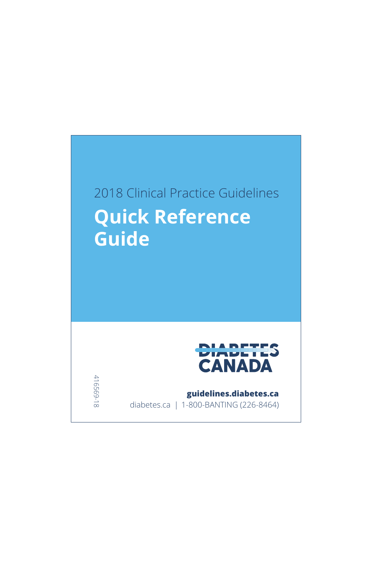# 2018 Clinical Practice Guidelines **Quick Reference Guide**



**guidelines.diabetes.ca**

diabetes.ca | 1-800-BANTING (226-8464)

416569-18 416569-18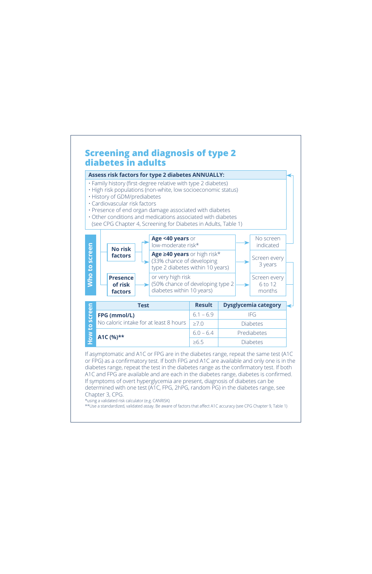

If asymptomatic and A1C or FPG are in the diabetes range, repeat the same test (A1C or FPG) as a confirmatory test. If both FPG and A1C are available and only one is in the diabetes range, repeat the test in the diabetes range as the confirmatory test. If both A1C and FPG are available and are each in the diabetes range, diabetes is confirmed. If symptoms of overt hyperglycemia are present, diagnosis of diabetes can be determined with one test (A1C, FPG, 2hPG, random PG) in the diabetes range, see Chapter 3, CPG.

\*using a validated risk calculator (e.g. CANRISK)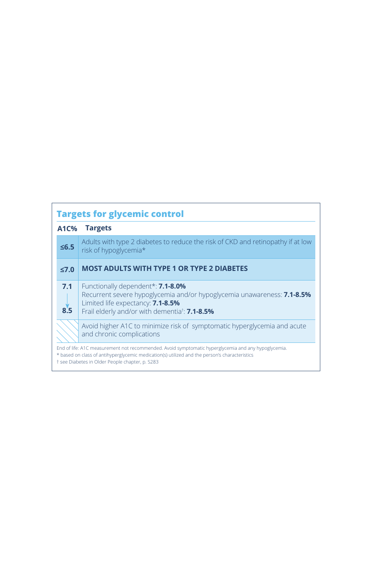| <b>Targets for glycemic control</b>                                                                                                                                                                                                                     |                                                                                                                                                                                                                               |  |  |
|---------------------------------------------------------------------------------------------------------------------------------------------------------------------------------------------------------------------------------------------------------|-------------------------------------------------------------------------------------------------------------------------------------------------------------------------------------------------------------------------------|--|--|
| <b>A1C%</b>                                                                                                                                                                                                                                             | <b>Targets</b>                                                                                                                                                                                                                |  |  |
| $\leq 6.5$                                                                                                                                                                                                                                              | Adults with type 2 diabetes to reduce the risk of CKD and retinopathy if at low<br>risk of hypoglycemia*                                                                                                                      |  |  |
| $\leq 7.0$                                                                                                                                                                                                                                              | <b>MOST ADULTS WITH TYPE 1 OR TYPE 2 DIABETES</b>                                                                                                                                                                             |  |  |
| 7.1<br>8.5                                                                                                                                                                                                                                              | Functionally dependent*: <b>7.1-8.0%</b><br>Recurrent severe hypoglycemia and/or hypoglycemia unawareness: 7.1-8.5%<br>Limited life expectancy: 7.1-8.5%<br>Frail elderly and/or with dementia <sup>†</sup> : <b>7.1-8.5%</b> |  |  |
|                                                                                                                                                                                                                                                         | Avoid higher A1C to minimize risk of symptomatic hyperglycemia and acute<br>and chronic complications                                                                                                                         |  |  |
| End of life: A1C measurement not recommended. Avoid symptomatic hyperglycemia and any hypoglycemia.<br>* based on class of antihyperglycemic medication(s) utilized and the person's characteristics<br>† see Diabetes in Older People chapter, p. S283 |                                                                                                                                                                                                                               |  |  |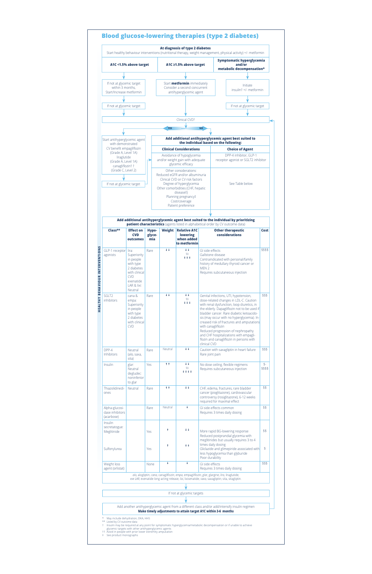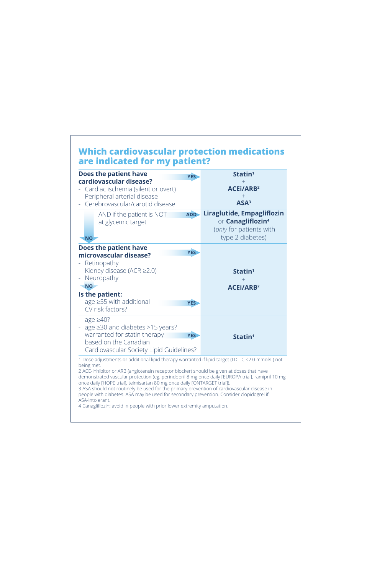## **Which cardiovascular protection medications are indicated for my patient?**

| Does the patient have<br><b>YES</b><br>cardiovascular disease?                                                                                                                             | Statin <sup>1</sup>                                                                                              |  |
|--------------------------------------------------------------------------------------------------------------------------------------------------------------------------------------------|------------------------------------------------------------------------------------------------------------------|--|
| Cardiac ischemia (silent or overt)<br>Peripheral arterial disease<br>$\equiv$                                                                                                              | <b>ACEI/ARB2</b>                                                                                                 |  |
| Cerebrovascular/carotid disease                                                                                                                                                            | ASA <sup>3</sup>                                                                                                 |  |
| <b>ADD</b><br>AND if the patient is NOT<br>at glycemic target<br><b>NO</b>                                                                                                                 | Liraglutide, Empagliflozin<br>or <b>Canagliflozin<sup>4</sup></b><br>(only for patients with<br>type 2 diabetes) |  |
| <b>Does the patient have</b><br><b>YES</b><br>microvascular disease?<br>Retinopathy<br>Kidney disease (ACR $\geq$ 2.0)<br>$\qquad \qquad \blacksquare$<br>Neuropathy<br>÷,                 | Statin <sup>1</sup>                                                                                              |  |
| <b>NO</b><br>Is the patient:<br>- age $\geq$ 55 with additional<br><b>YES</b><br>CV risk factors?                                                                                          | <b>ACEI/ARB2</b>                                                                                                 |  |
| - age $\geq$ 40?<br>- age $\geq$ 30 and diabetes >15 years?<br>warranted for statin therapy<br><b>YES</b><br>$\equiv$<br>based on the Canadian<br>Cardiovascular Society Lipid Guidelines? | Statin <sup>1</sup>                                                                                              |  |

being met. 2 ACE-inhibitor or ARB (angiotensin receptor blocker) should be given at doses that have

demonstrated vascular protection (eg. perindopril 8 mg once daily [EUROPA trial], ramipril 10 mg once daily [HOPE trial], telmisartan 80 mg once daily [ONTARGET trial]).

3 ASA should not routinely be used for the primary prevention of cardiovascular disease in people with diabetes. ASA may be used for secondary prevention. Consider clopidogrel if ASA-intolerant.

4 Canagliflozin: avoid in people with prior lower extremity amputation.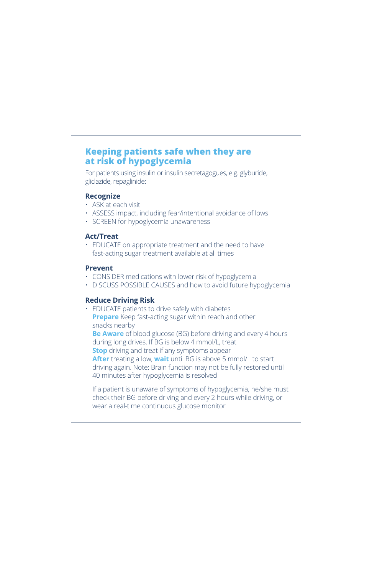## **Keeping patients safe when they are at risk of hypoglycemia**

For patients using insulin or insulin secretagogues, e.g. glyburide, gliclazide, repaglinide:

#### **Recognize**

- ASK at each visit
- ASSESS impact, including fear/intentional avoidance of lows
- SCREEN for hypoglycemia unawareness

#### **Act/Treat**

• EDUCATE on appropriate treatment and the need to have fast-acting sugar treatment available at all times

#### **Prevent**

- CONSIDER medications with lower risk of hypoglycemia
- DISCUSS POSSIBLE CAUSES and how to avoid future hypoglycemia

#### **Reduce Driving Risk**

• EDUCATE patients to drive safely with diabetes **Prepare** Keep fast-acting sugar within reach and other snacks nearby

**Be Aware** of blood glucose (BG) before driving and every 4 hours during long drives. If BG is below 4 mmol/L, treat **Stop** driving and treat if any symptoms appear **After** treating a low, **wait** until BG is above 5 mmol/L to start driving again. Note: Brain function may not be fully restored until 40 minutes after hypoglycemia is resolved

If a patient is unaware of symptoms of hypoglycemia, he/she must check their BG before driving and every 2 hours while driving, or wear a real-time continuous glucose monitor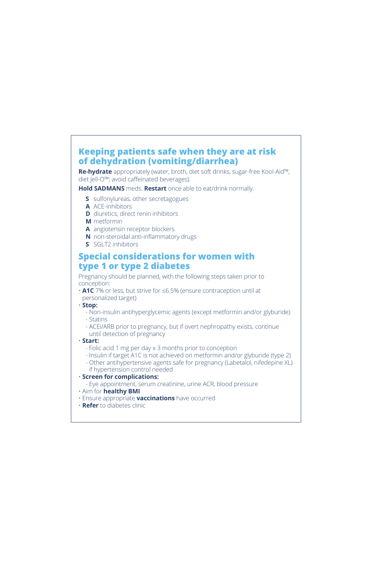## **Keeping patients safe when they are at risk of dehydration (vomiting/diarrhea)**

**Re-hydrate** appropriately (water, broth, diet soft drinks, sugar-free Kool-Aid™, diet Jell-O™; avoid caffeinated beverages).

**Hold SADMANS** meds. **Restart** once able to eat/drink normally.

- **S** sulfonylureas, other secretagogues
- **A** ACE-inhibitors
- **D** diuretics, direct renin inhibitors
- **M** metformin
- **A** angiotensin receptor blockers
- **N** non-steroidal anti-inflammatory drugs
- **S** SGLT2 inhibitors

### **Special considerations for women with type 1 or type 2 diabetes**

Pregnancy should be planned, with the following steps taken prior to conception:

- **A1C** 7% or less, but strive for ≤6.5% (ensure contraception until at personalized target)
- **Stop:**
	- Non-insulin antihyperglycemic agents (except metformin and/or glyburide)
	- Statins
	- ACEi/ARB prior to pregnancy, but if overt nephropathy exists, continue until detection of pregnancy
- **Start:**
	- Folic acid 1 mg per day x 3 months prior to conception
	- Insulin if target A1C is not achieved on metformin and/or glyburide (type 2)
	- Other antihypertensive agents safe for pregnancy (Labetalol, nifedepine XL) if hypertension control needed

#### • **Screen for complications:**

- Eye appointment, serum creatinine, urine ACR, blood pressure

- Aim for **healthy BMI**
- Ensure appropriate **vaccinations** have occurred
- **Refer** to diabetes clinic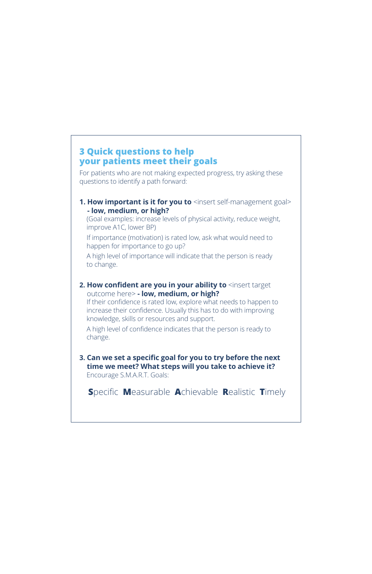## **3 Quick questions to help your patients meet their goals**

For patients who are not making expected progress, try asking these questions to identify a path forward:

#### **1. How important is it for you to** <insert self-management goal> **- low, medium, or high?**

(Goal examples: increase levels of physical activity, reduce weight, improve A1C, lower BP)

If importance (motivation) is rated low, ask what would need to happen for importance to go up?

A high level of importance will indicate that the person is ready to change.

#### **2. How confident are you in your ability to** <insert target outcome here> **- low, medium, or high?**

If their confidence is rated low, explore what needs to happen to increase their confidence. Usually this has to do with improving knowledge, skills or resources and support.

A high level of confidence indicates that the person is ready to change.

#### **3. Can we set a specific goal for you to try before the next time we meet? What steps will you take to achieve it?**

Encourage S.M.A.R.T. Goals:

**Specific Measurable Achievable Realistic Timely**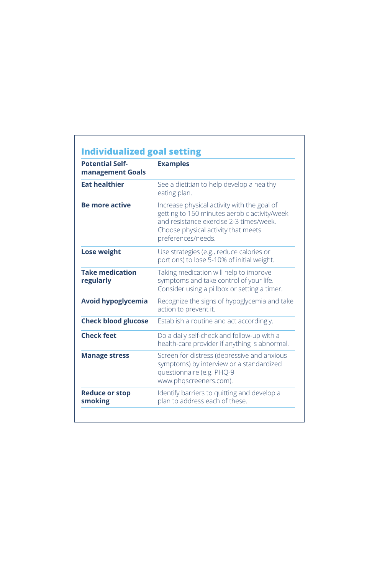| <b>Potential Self-</b><br>management Goals | <b>Examples</b>                                                                                                                                                                                     |  |
|--------------------------------------------|-----------------------------------------------------------------------------------------------------------------------------------------------------------------------------------------------------|--|
| <b>Eat healthier</b>                       | See a dietitian to help develop a healthy<br>eating plan.                                                                                                                                           |  |
| <b>Be more active</b>                      | Increase physical activity with the goal of<br>getting to 150 minutes aerobic activity/week<br>and resistance exercise 2-3 times/week.<br>Choose physical activity that meets<br>preferences/needs. |  |
| <b>Lose weight</b>                         | Use strategies (e.g., reduce calories or<br>portions) to lose 5-10% of initial weight.                                                                                                              |  |
| <b>Take medication</b><br>regularly        | Taking medication will help to improve<br>symptoms and take control of your life.<br>Consider using a pillbox or setting a timer.                                                                   |  |
| <b>Avoid hypoglycemia</b>                  | Recognize the signs of hypoglycemia and take<br>action to prevent it.                                                                                                                               |  |
| <b>Check blood glucose</b>                 | Establish a routine and act accordingly.                                                                                                                                                            |  |
| <b>Check feet</b>                          | Do a daily self-check and follow-up with a<br>health-care provider if anything is abnormal.                                                                                                         |  |
| <b>Manage stress</b>                       | Screen for distress (depressive and anxious<br>symptoms) by interview or a standardized<br>questionnaire (e.g. PHQ-9<br>www.phqscreeners.com).                                                      |  |
| <b>Reduce or stop</b><br>smoking           | Identify barriers to quitting and develop a<br>plan to address each of these.                                                                                                                       |  |